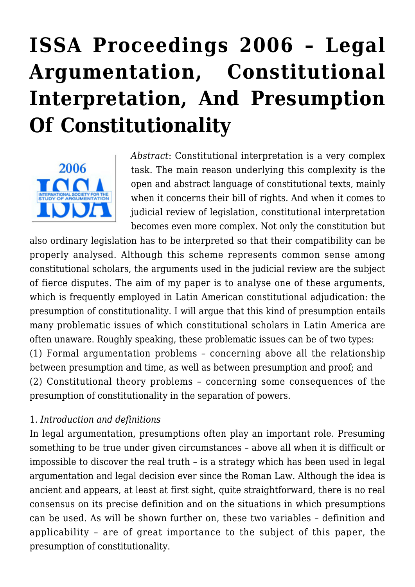# **[ISSA Proceedings 2006 – Legal](https://rozenbergquarterly.com/issa-proceedings-2006-legal-argumentation-constitutional-interpretation-and-presumption-of-constitutionality/) [Argumentation, Constitutional](https://rozenbergquarterly.com/issa-proceedings-2006-legal-argumentation-constitutional-interpretation-and-presumption-of-constitutionality/) [Interpretation, And Presumption](https://rozenbergquarterly.com/issa-proceedings-2006-legal-argumentation-constitutional-interpretation-and-presumption-of-constitutionality/) [Of Constitutionality](https://rozenbergquarterly.com/issa-proceedings-2006-legal-argumentation-constitutional-interpretation-and-presumption-of-constitutionality/)**



*Abstract*: Constitutional interpretation is a very complex task. The main reason underlying this complexity is the open and abstract language of constitutional texts, mainly when it concerns their bill of rights. And when it comes to judicial review of legislation, constitutional interpretation becomes even more complex. Not only the constitution but

also ordinary legislation has to be interpreted so that their compatibility can be properly analysed. Although this scheme represents common sense among constitutional scholars, the arguments used in the judicial review are the subject of fierce disputes. The aim of my paper is to analyse one of these arguments, which is frequently employed in Latin American constitutional adjudication: the presumption of constitutionality. I will argue that this kind of presumption entails many problematic issues of which constitutional scholars in Latin America are often unaware. Roughly speaking, these problematic issues can be of two types: (1) Formal argumentation problems – concerning above all the relationship between presumption and time, as well as between presumption and proof; and (2) Constitutional theory problems – concerning some consequences of the presumption of constitutionality in the separation of powers.

#### 1. *Introduction and definitions*

In legal argumentation, presumptions often play an important role. Presuming something to be true under given circumstances – above all when it is difficult or impossible to discover the real truth – is a strategy which has been used in legal argumentation and legal decision ever since the Roman Law. Although the idea is ancient and appears, at least at first sight, quite straightforward, there is no real consensus on its precise definition and on the situations in which presumptions can be used. As will be shown further on, these two variables – definition and applicability – are of great importance to the subject of this paper, the presumption of constitutionality.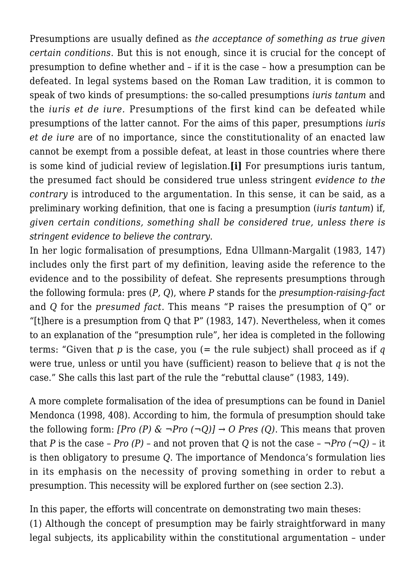Presumptions are usually defined as *the acceptance of something as true given certain conditions.* But this is not enough, since it is crucial for the concept of presumption to define whether and – if it is the case – how a presumption can be defeated. In legal systems based on the Roman Law tradition, it is common to speak of two kinds of presumptions: the so-called presumptions *iuris tantum* and the *iuris et de iure.* Presumptions of the first kind can be defeated while presumptions of the latter cannot. For the aims of this paper, presumptions *iuris et de iure* are of no importance, since the constitutionality of an enacted law cannot be exempt from a possible defeat, at least in those countries where there is some kind of judicial review of legislation.**[i]** For presumptions iuris tantum, the presumed fact should be considered true unless stringent *evidence to the contrary* is introduced to the argumentation. In this sense, it can be said, as a preliminary working definition, that one is facing a presumption (*iuris tantum*) if, *given certain conditions, something shall be considered true, unless there is stringent evidence to believe the contrary*.

In her logic formalisation of presumptions, Edna Ullmann-Margalit (1983, 147) includes only the first part of my definition, leaving aside the reference to the evidence and to the possibility of defeat. She represents presumptions through the following formula: pres (*P, Q*), where *P* stands for the *presumption-raising-fact* and *Q* for the *presumed fact*. This means "P raises the presumption of Q" or "[t]here is a presumption from Q that P" (1983, 147). Nevertheless, when it comes to an explanation of the "presumption rule", her idea is completed in the following terms: "Given that *p* is the case, you (= the rule subject) shall proceed as if *q* were true, unless or until you have (sufficient) reason to believe that *q* is not the case." She calls this last part of the rule the "rebuttal clause" (1983, 149).

A more complete formalisation of the idea of presumptions can be found in Daniel Mendonca (1998, 408). According to him, the formula of presumption should take the following form: *[Pro (P) & ¬Pro (¬Q)] → O Pres (Q)*. This means that proven that *P* is the case – *Pro*  $(P)$  – and not proven that *Q* is not the case –  $\neg Pro$  ( $\neg Q$ ) – it is then obligatory to presume *Q*. The importance of Mendonca's formulation lies in its emphasis on the necessity of proving something in order to rebut a presumption. This necessity will be explored further on (see section 2.3).

In this paper, the efforts will concentrate on demonstrating two main theses: (1) Although the concept of presumption may be fairly straightforward in many legal subjects, its applicability within the constitutional argumentation – under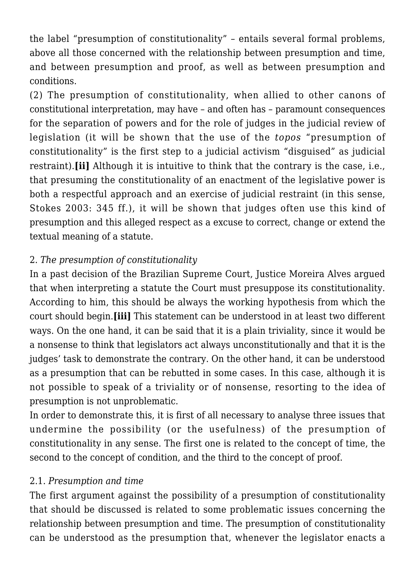the label "presumption of constitutionality" – entails several formal problems, above all those concerned with the relationship between presumption and time, and between presumption and proof, as well as between presumption and conditions.

(2) The presumption of constitutionality, when allied to other canons of constitutional interpretation, may have – and often has – paramount consequences for the separation of powers and for the role of judges in the judicial review of legislation (it will be shown that the use of the *topos* "presumption of constitutionality" is the first step to a judicial activism "disguised" as judicial restraint).**[ii]** Although it is intuitive to think that the contrary is the case, i.e., that presuming the constitutionality of an enactment of the legislative power is both a respectful approach and an exercise of judicial restraint (in this sense, Stokes 2003: 345 ff.), it will be shown that judges often use this kind of presumption and this alleged respect as a excuse to correct, change or extend the textual meaning of a statute.

# 2. *The presumption of constitutionality*

In a past decision of the Brazilian Supreme Court, Justice Moreira Alves argued that when interpreting a statute the Court must presuppose its constitutionality. According to him, this should be always the working hypothesis from which the court should begin.**[iii]** This statement can be understood in at least two different ways. On the one hand, it can be said that it is a plain triviality, since it would be a nonsense to think that legislators act always unconstitutionally and that it is the judges' task to demonstrate the contrary. On the other hand, it can be understood as a presumption that can be rebutted in some cases. In this case, although it is not possible to speak of a triviality or of nonsense, resorting to the idea of presumption is not unproblematic.

In order to demonstrate this, it is first of all necessary to analyse three issues that undermine the possibility (or the usefulness) of the presumption of constitutionality in any sense. The first one is related to the concept of time, the second to the concept of condition, and the third to the concept of proof.

#### 2.1. *Presumption and time*

The first argument against the possibility of a presumption of constitutionality that should be discussed is related to some problematic issues concerning the relationship between presumption and time. The presumption of constitutionality can be understood as the presumption that, whenever the legislator enacts a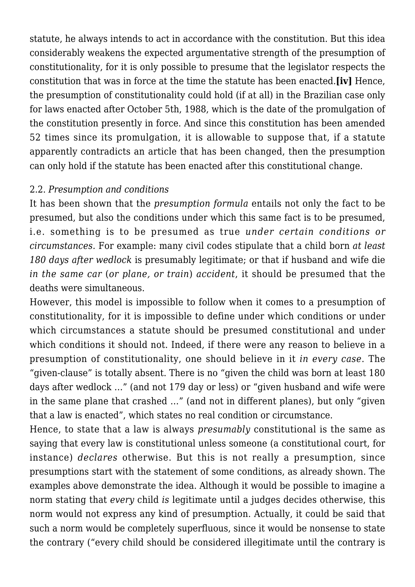statute, he always intends to act in accordance with the constitution. But this idea considerably weakens the expected argumentative strength of the presumption of constitutionality, for it is only possible to presume that the legislator respects the constitution that was in force at the time the statute has been enacted.**[iv]** Hence, the presumption of constitutionality could hold (if at all) in the Brazilian case only for laws enacted after October 5th, 1988, which is the date of the promulgation of the constitution presently in force. And since this constitution has been amended 52 times since its promulgation, it is allowable to suppose that, if a statute apparently contradicts an article that has been changed, then the presumption can only hold if the statute has been enacted after this constitutional change.

#### 2.2. *Presumption and conditions*

It has been shown that the *presumption formula* entails not only the fact to be presumed, but also the conditions under which this same fact is to be presumed, i.e. something is to be presumed as true *under certain conditions or circumstances.* For example: many civil codes stipulate that a child born *at least 180 days after wedlock* is presumably legitimate; or that if husband and wife die *in the same car* (*or plane, or train*) *accident*, it should be presumed that the deaths were simultaneous.

However, this model is impossible to follow when it comes to a presumption of constitutionality, for it is impossible to define under which conditions or under which circumstances a statute should be presumed constitutional and under which conditions it should not. Indeed, if there were any reason to believe in a presumption of constitutionality, one should believe in it *in every case*. The "given-clause" is totally absent. There is no "given the child was born at least 180 days after wedlock …" (and not 179 day or less) or "given husband and wife were in the same plane that crashed …" (and not in different planes), but only "given that a law is enacted", which states no real condition or circumstance.

Hence, to state that a law is always *presumably* constitutional is the same as saying that every law is constitutional unless someone (a constitutional court, for instance) *declares* otherwise. But this is not really a presumption, since presumptions start with the statement of some conditions, as already shown. The examples above demonstrate the idea. Although it would be possible to imagine a norm stating that *every* child *is* legitimate until a judges decides otherwise, this norm would not express any kind of presumption. Actually, it could be said that such a norm would be completely superfluous, since it would be nonsense to state the contrary ("every child should be considered illegitimate until the contrary is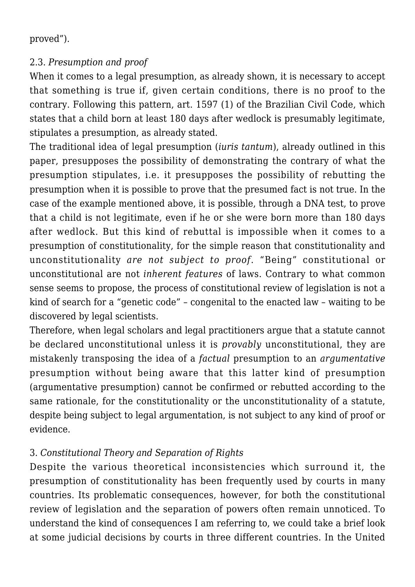proved").

## 2.3. *Presumption and proof*

When it comes to a legal presumption, as already shown, it is necessary to accept that something is true if, given certain conditions, there is no proof to the contrary. Following this pattern, art. 1597 (1) of the Brazilian Civil Code, which states that a child born at least 180 days after wedlock is presumably legitimate, stipulates a presumption, as already stated.

The traditional idea of legal presumption (*iuris tantum*), already outlined in this paper, presupposes the possibility of demonstrating the contrary of what the presumption stipulates, i.e. it presupposes the possibility of rebutting the presumption when it is possible to prove that the presumed fact is not true. In the case of the example mentioned above, it is possible, through a DNA test, to prove that a child is not legitimate, even if he or she were born more than 180 days after wedlock. But this kind of rebuttal is impossible when it comes to a presumption of constitutionality, for the simple reason that constitutionality and unconstitutionality *are not subject to proof*. "Being" constitutional or unconstitutional are not *inherent features* of laws. Contrary to what common sense seems to propose, the process of constitutional review of legislation is not a kind of search for a "genetic code" – congenital to the enacted law – waiting to be discovered by legal scientists.

Therefore, when legal scholars and legal practitioners argue that a statute cannot be declared unconstitutional unless it is *provably* unconstitutional, they are mistakenly transposing the idea of a *factual* presumption to an *argumentative* presumption without being aware that this latter kind of presumption (argumentative presumption) cannot be confirmed or rebutted according to the same rationale, for the constitutionality or the unconstitutionality of a statute, despite being subject to legal argumentation, is not subject to any kind of proof or evidence.

# 3. *Constitutional Theory and Separation of Rights*

Despite the various theoretical inconsistencies which surround it, the presumption of constitutionality has been frequently used by courts in many countries. Its problematic consequences, however, for both the constitutional review of legislation and the separation of powers often remain unnoticed. To understand the kind of consequences I am referring to, we could take a brief look at some judicial decisions by courts in three different countries. In the United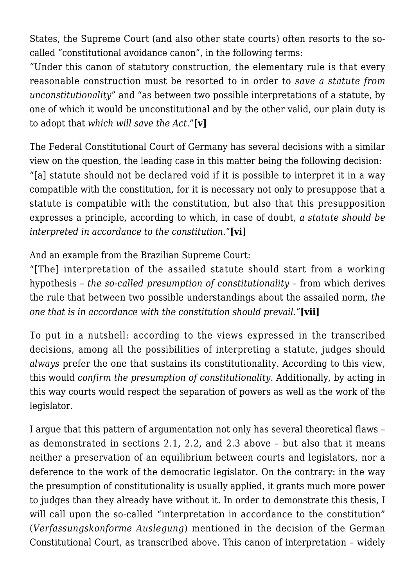States, the Supreme Court (and also other state courts) often resorts to the socalled "constitutional avoidance canon", in the following terms:

"Under this canon of statutory construction, the elementary rule is that every reasonable construction must be resorted to in order to *save a statute from unconstitutionality*" and "as between two possible interpretations of a statute, by one of which it would be unconstitutional and by the other valid, our plain duty is to adopt that *which will save the Act*."**[v]**

The Federal Constitutional Court of Germany has several decisions with a similar view on the question, the leading case in this matter being the following decision: "[a] statute should not be declared void if it is possible to interpret it in a way compatible with the constitution, for it is necessary not only to presuppose that a statute is compatible with the constitution, but also that this presupposition expresses a principle, according to which, in case of doubt, *a statute should be interpreted in accordance to the constitution*."**[vi]**

And an example from the Brazilian Supreme Court:

"[The] interpretation of the assailed statute should start from a working hypothesis – *the so-called presumption of constitutionality* – from which derives the rule that between two possible understandings about the assailed norm, *the one that is in accordance with the constitution should prevail.*"**[vii]**

To put in a nutshell: according to the views expressed in the transcribed decisions, among all the possibilities of interpreting a statute, judges should *always* prefer the one that sustains its constitutionality. According to this view, this would *confirm the presumption of constitutionality*. Additionally, by acting in this way courts would respect the separation of powers as well as the work of the legislator.

I argue that this pattern of argumentation not only has several theoretical flaws – as demonstrated in sections 2.1, 2.2, and 2.3 above – but also that it means neither a preservation of an equilibrium between courts and legislators, nor a deference to the work of the democratic legislator. On the contrary: in the way the presumption of constitutionality is usually applied, it grants much more power to judges than they already have without it. In order to demonstrate this thesis, I will call upon the so-called "interpretation in accordance to the constitution" (*Verfassungskonforme Auslegung*) mentioned in the decision of the German Constitutional Court, as transcribed above. This canon of interpretation – widely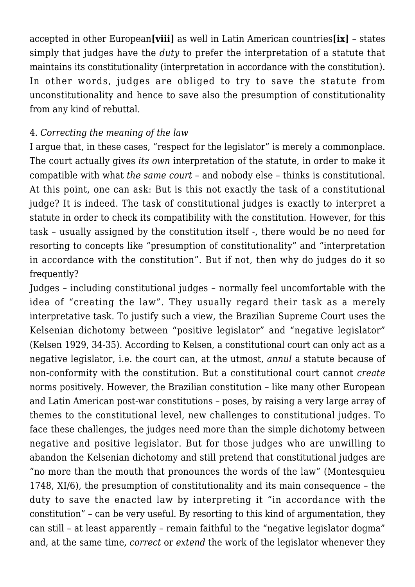accepted in other European**[viii]** as well in Latin American countries**[ix]** – states simply that judges have the *duty* to prefer the interpretation of a statute that maintains its constitutionality (interpretation in accordance with the constitution). In other words, judges are obliged to try to save the statute from unconstitutionality and hence to save also the presumption of constitutionality from any kind of rebuttal.

## 4. *Correcting the meaning of the law*

I argue that, in these cases, "respect for the legislator" is merely a commonplace. The court actually gives *its own* interpretation of the statute, in order to make it compatible with what *the same court* – and nobody else – thinks is constitutional. At this point, one can ask: But is this not exactly the task of a constitutional judge? It is indeed. The task of constitutional judges is exactly to interpret a statute in order to check its compatibility with the constitution. However, for this task – usually assigned by the constitution itself -, there would be no need for resorting to concepts like "presumption of constitutionality" and "interpretation in accordance with the constitution". But if not, then why do judges do it so frequently?

Judges – including constitutional judges – normally feel uncomfortable with the idea of "creating the law". They usually regard their task as a merely interpretative task. To justify such a view, the Brazilian Supreme Court uses the Kelsenian dichotomy between "positive legislator" and "negative legislator" (Kelsen 1929, 34-35). According to Kelsen, a constitutional court can only act as a negative legislator, i.e. the court can, at the utmost, *annul* a statute because of non-conformity with the constitution. But a constitutional court cannot *create* norms positively. However, the Brazilian constitution – like many other European and Latin American post-war constitutions – poses, by raising a very large array of themes to the constitutional level, new challenges to constitutional judges. To face these challenges, the judges need more than the simple dichotomy between negative and positive legislator. But for those judges who are unwilling to abandon the Kelsenian dichotomy and still pretend that constitutional judges are "no more than the mouth that pronounces the words of the law" (Montesquieu 1748, XI/6), the presumption of constitutionality and its main consequence – the duty to save the enacted law by interpreting it "in accordance with the constitution" – can be very useful. By resorting to this kind of argumentation, they can still – at least apparently – remain faithful to the "negative legislator dogma" and, at the same time, *correct* or *extend* the work of the legislator whenever they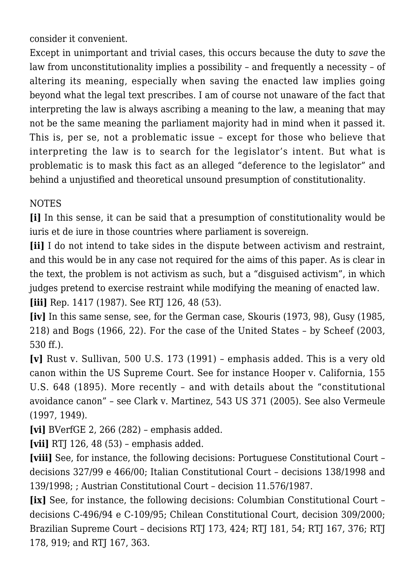consider it convenient.

Except in unimportant and trivial cases, this occurs because the duty to *save* the law from unconstitutionality implies a possibility – and frequently a necessity – of altering its meaning, especially when saving the enacted law implies going beyond what the legal text prescribes. I am of course not unaware of the fact that interpreting the law is always ascribing a meaning to the law, a meaning that may not be the same meaning the parliament majority had in mind when it passed it. This is, per se, not a problematic issue – except for those who believe that interpreting the law is to search for the legislator's intent. But what is problematic is to mask this fact as an alleged "deference to the legislator" and behind a unjustified and theoretical unsound presumption of constitutionality.

## **NOTES**

**[i]** In this sense, it can be said that a presumption of constitutionality would be iuris et de iure in those countries where parliament is sovereign.

**[ii]** I do not intend to take sides in the dispute between activism and restraint, and this would be in any case not required for the aims of this paper. As is clear in the text, the problem is not activism as such, but a "disguised activism", in which judges pretend to exercise restraint while modifying the meaning of enacted law. **[iii]** Rep. 1417 (1987). See RTJ 126, 48 (53).

**[iv]** In this same sense, see, for the German case, Skouris (1973, 98), Gusy (1985, 218) and Bogs (1966, 22). For the case of the United States – by Scheef (2003, 530 ff.).

**[v]** Rust v. Sullivan, 500 U.S. 173 (1991) – emphasis added. This is a very old canon within the US Supreme Court. See for instance Hooper v. California, 155 U.S. 648 (1895). More recently – and with details about the "constitutional avoidance canon" – see Clark v. Martinez, 543 US 371 (2005). See also Vermeule (1997, 1949).

**[vi]** BVerfGE 2, 266 (282) – emphasis added.

**[vii]** RTJ 126, 48 (53) – emphasis added.

**[viii]** See, for instance, the following decisions: Portuguese Constitutional Court – decisions 327/99 e 466/00; Italian Constitutional Court – decisions 138/1998 and 139/1998; ; Austrian Constitutional Court – decision 11.576/1987.

**[ix]** See, for instance, the following decisions: Columbian Constitutional Court – decisions C-496/94 e C-109/95; Chilean Constitutional Court, decision 309/2000; Brazilian Supreme Court – decisions RTJ 173, 424; RTJ 181, 54; RTJ 167, 376; RTJ 178, 919; and RTJ 167, 363.